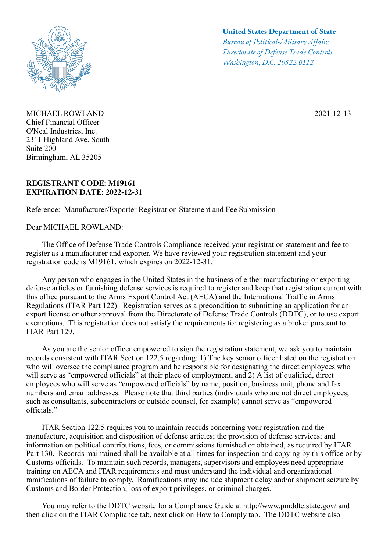

MICHAEL ROWLAND Chief Financial Officer O'Neal Industries, Inc. 2311 Highland Ave. South Suite 200 Birmingham, AL 35205

## **REGISTRANT CODE: M19161 EXPIRATION DATE: 2022-12-31**

Reference: Manufacturer/Exporter Registration Statement and Fee Submission

Dear MICHAEL ROWLAND:

## **United States Department of State**

*Bureau of Political-Military Afairs Directorate of Defense Trade Controls Washington, D.C. 20522-0112*

2021-12-13

 The Office of Defense Trade Controls Compliance received your registration statement and fee to register as a manufacturer and exporter. We have reviewed your registration statement and your registration code is M19161, which expires on 2022-12-31.

 Any person who engages in the United States in the business of either manufacturing or exporting defense articles or furnishing defense services is required to register and keep that registration current with this office pursuant to the Arms Export Control Act (AECA) and the International Traffic in Arms Regulations (ITAR Part 122). Registration serves as a precondition to submitting an application for an export license or other approval from the Directorate of Defense Trade Controls (DDTC), or to use export exemptions. This registration does not satisfy the requirements for registering as a broker pursuant to ITAR Part 129.

 As you are the senior officer empowered to sign the registration statement, we ask you to maintain records consistent with ITAR Section 122.5 regarding: 1) The key senior officer listed on the registration who will oversee the compliance program and be responsible for designating the direct employees who will serve as "empowered officials" at their place of employment, and 2) A list of qualified, direct employees who will serve as "empowered officials" by name, position, business unit, phone and fax numbers and email addresses. Please note that third parties (individuals who are not direct employees, such as consultants, subcontractors or outside counsel, for example) cannot serve as "empowered officials."

 ITAR Section 122.5 requires you to maintain records concerning your registration and the manufacture, acquisition and disposition of defense articles; the provision of defense services; and information on political contributions, fees, or commissions furnished or obtained, as required by ITAR Part 130. Records maintained shall be available at all times for inspection and copying by this office or by Customs officials. To maintain such records, managers, supervisors and employees need appropriate training on AECA and ITAR requirements and must understand the individual and organizational ramifications of failure to comply. Ramifications may include shipment delay and/or shipment seizure by Customs and Border Protection, loss of export privileges, or criminal charges.

You may refer to the DDTC website for a Compliance Guide at http://www.pmddtc.state.gov/ and then click on the ITAR Compliance tab, next click on How to Comply tab. The DDTC website also